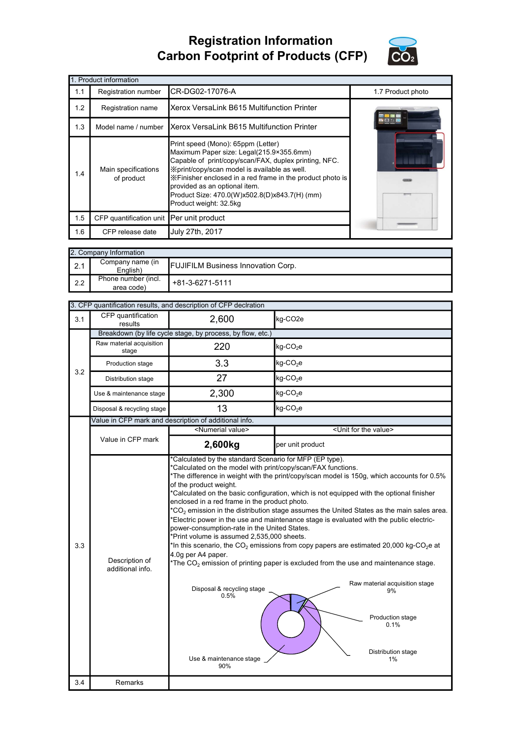## Registration Information Carbon Footprint of Products (CFP)



|     | 1. Product information                   |                                                                                                                                                                                                                                                                                                                                                                   |                   |
|-----|------------------------------------------|-------------------------------------------------------------------------------------------------------------------------------------------------------------------------------------------------------------------------------------------------------------------------------------------------------------------------------------------------------------------|-------------------|
| 1.1 | Registration number                      | CR-DG02-17076-A                                                                                                                                                                                                                                                                                                                                                   | 1.7 Product photo |
| 1.2 | Registration name                        | Xerox VersaLink B615 Multifunction Printer                                                                                                                                                                                                                                                                                                                        |                   |
| 1.3 | Model name / number                      | Xerox VersaLink B615 Multifunction Printer                                                                                                                                                                                                                                                                                                                        |                   |
| 1.4 | Main specifications<br>of product        | Print speed (Mono): 65ppm (Letter)<br>Maximum Paper size: Legal(215.9×355.6mm)<br>Capable of print/copy/scan/FAX, duplex printing, NFC.<br>Xprint/copy/scan model is available as well.<br>X Finisher enclosed in a red frame in the product photo is<br>provided as an optional item.<br>Product Size: 470.0(W)x502.8(D)x843.7(H) (mm)<br>Product weight: 32.5kg |                   |
| 1.5 | CFP quantification unit Per unit product |                                                                                                                                                                                                                                                                                                                                                                   |                   |
| 1.6 | CFP release date                         | July 27th, 2017                                                                                                                                                                                                                                                                                                                                                   |                   |

| 2. Company Information |                                   |                                           |
|------------------------|-----------------------------------|-------------------------------------------|
| 2.1                    | Company name (in<br>English)      | <b>FUJIFILM Business Innovation Corp.</b> |
| 2.2                    | Phone number (incl.<br>area code) | +81-3-6271-5111                           |

|     |                                    | 3. CFP quantification results, and description of CFP declration                                                                                                                                                                                                                                                                    |                                                                                                                                                                                                                                                                                                                                                                                                                                                                                                                                                                                                                                                                                     |
|-----|------------------------------------|-------------------------------------------------------------------------------------------------------------------------------------------------------------------------------------------------------------------------------------------------------------------------------------------------------------------------------------|-------------------------------------------------------------------------------------------------------------------------------------------------------------------------------------------------------------------------------------------------------------------------------------------------------------------------------------------------------------------------------------------------------------------------------------------------------------------------------------------------------------------------------------------------------------------------------------------------------------------------------------------------------------------------------------|
| 3.1 | CFP quantification<br>results      | 2,600                                                                                                                                                                                                                                                                                                                               | kg-CO <sub>2e</sub>                                                                                                                                                                                                                                                                                                                                                                                                                                                                                                                                                                                                                                                                 |
|     |                                    | Breakdown (by life cycle stage, by process, by flow, etc.)                                                                                                                                                                                                                                                                          |                                                                                                                                                                                                                                                                                                                                                                                                                                                                                                                                                                                                                                                                                     |
|     | Raw material acquisition<br>stage  | 220                                                                                                                                                                                                                                                                                                                                 | kg-CO <sub>2</sub> e                                                                                                                                                                                                                                                                                                                                                                                                                                                                                                                                                                                                                                                                |
| 3.2 | Production stage                   | 3.3                                                                                                                                                                                                                                                                                                                                 | $kg$ -CO <sub>2</sub> e                                                                                                                                                                                                                                                                                                                                                                                                                                                                                                                                                                                                                                                             |
|     | Distribution stage                 | 27                                                                                                                                                                                                                                                                                                                                  | $kg$ -CO <sub>2</sub> e                                                                                                                                                                                                                                                                                                                                                                                                                                                                                                                                                                                                                                                             |
|     | Use & maintenance stage            | 2,300                                                                                                                                                                                                                                                                                                                               | $kg$ -CO <sub>2</sub> e                                                                                                                                                                                                                                                                                                                                                                                                                                                                                                                                                                                                                                                             |
|     | Disposal & recycling stage         | 13                                                                                                                                                                                                                                                                                                                                  | kg-CO <sub>2</sub> e                                                                                                                                                                                                                                                                                                                                                                                                                                                                                                                                                                                                                                                                |
|     |                                    | Value in CFP mark and description of additional info.                                                                                                                                                                                                                                                                               |                                                                                                                                                                                                                                                                                                                                                                                                                                                                                                                                                                                                                                                                                     |
|     |                                    | <numerial value=""></numerial>                                                                                                                                                                                                                                                                                                      | <unit for="" the="" value=""></unit>                                                                                                                                                                                                                                                                                                                                                                                                                                                                                                                                                                                                                                                |
|     | Value in CFP mark                  | 2,600kg                                                                                                                                                                                                                                                                                                                             | per unit product                                                                                                                                                                                                                                                                                                                                                                                                                                                                                                                                                                                                                                                                    |
| 3.3 | Description of<br>additional info. | *Calculated on the model with print/copy/scan/FAX functions.<br>of the product weight.<br>enclosed in a red frame in the product photo.<br>power-consumption-rate in the United States.<br>*Print volume is assumed 2,535,000 sheets.<br>4.0g per A4 paper.<br>Disposal & recycling stage<br>0.5%<br>Use & maintenance stage<br>90% | *The difference in weight with the print/copy/scan model is 150g, which accounts for 0.5%<br>*Calculated on the basic configuration, which is not equipped with the optional finisher<br>$^*CO_2$ emission in the distribution stage assumes the United States as the main sales area.<br>*Electric power in the use and maintenance stage is evaluated with the public electric-<br>*In this scenario, the $CO_2$ emissions from copy papers are estimated 20,000 kg-CO <sub>2</sub> e at<br>*The $CO2$ emission of printing paper is excluded from the use and maintenance stage.<br>Raw material acquisition stage<br>9%<br>Production stage<br>0.1%<br>Distribution stage<br>1% |
| 3.4 | <b>Remarks</b>                     |                                                                                                                                                                                                                                                                                                                                     |                                                                                                                                                                                                                                                                                                                                                                                                                                                                                                                                                                                                                                                                                     |
|     |                                    |                                                                                                                                                                                                                                                                                                                                     |                                                                                                                                                                                                                                                                                                                                                                                                                                                                                                                                                                                                                                                                                     |